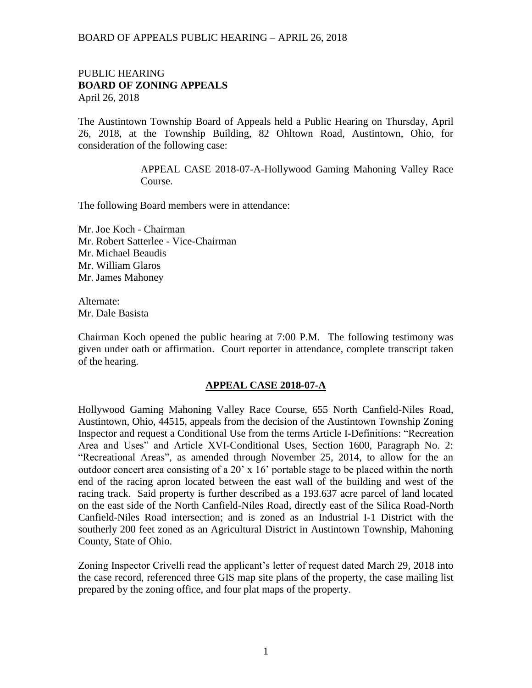## PUBLIC HEARING **BOARD OF ZONING APPEALS**  April 26, 2018

The Austintown Township Board of Appeals held a Public Hearing on Thursday, April 26, 2018, at the Township Building, 82 Ohltown Road, Austintown, Ohio, for consideration of the following case:

> APPEAL CASE 2018-07-A-Hollywood Gaming Mahoning Valley Race Course.

The following Board members were in attendance:

Mr. Joe Koch - Chairman Mr. Robert Satterlee - Vice-Chairman Mr. Michael Beaudis Mr. William Glaros Mr. James Mahoney

Alternate: Mr. Dale Basista

Chairman Koch opened the public hearing at 7:00 P.M. The following testimony was given under oath or affirmation. Court reporter in attendance, complete transcript taken of the hearing.

## **APPEAL CASE 2018-07-A**

Hollywood Gaming Mahoning Valley Race Course, 655 North Canfield-Niles Road, Austintown, Ohio, 44515, appeals from the decision of the Austintown Township Zoning Inspector and request a Conditional Use from the terms Article I-Definitions: "Recreation Area and Uses" and Article XVI-Conditional Uses, Section 1600, Paragraph No. 2: "Recreational Areas", as amended through November 25, 2014, to allow for the an outdoor concert area consisting of a 20' x 16' portable stage to be placed within the north end of the racing apron located between the east wall of the building and west of the racing track. Said property is further described as a 193.637 acre parcel of land located on the east side of the North Canfield-Niles Road, directly east of the Silica Road-North Canfield-Niles Road intersection; and is zoned as an Industrial I-1 District with the southerly 200 feet zoned as an Agricultural District in Austintown Township, Mahoning County, State of Ohio.

Zoning Inspector Crivelli read the applicant's letter of request dated March 29, 2018 into the case record, referenced three GIS map site plans of the property, the case mailing list prepared by the zoning office, and four plat maps of the property.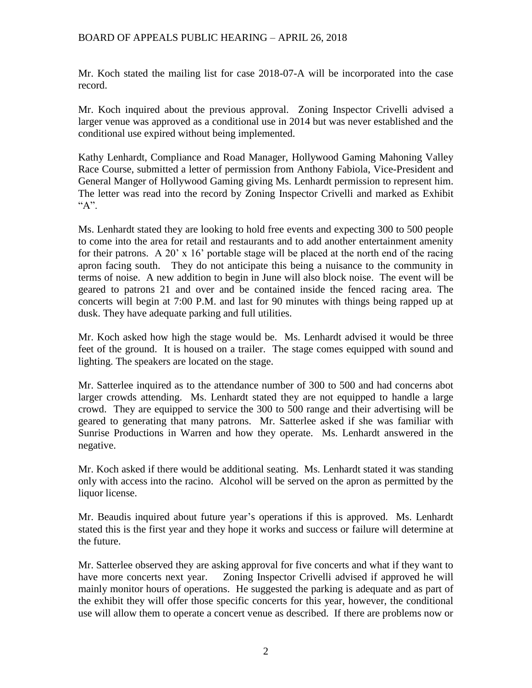Mr. Koch stated the mailing list for case 2018-07-A will be incorporated into the case record.

Mr. Koch inquired about the previous approval. Zoning Inspector Crivelli advised a larger venue was approved as a conditional use in 2014 but was never established and the conditional use expired without being implemented.

Kathy Lenhardt, Compliance and Road Manager, Hollywood Gaming Mahoning Valley Race Course, submitted a letter of permission from Anthony Fabiola, Vice-President and General Manger of Hollywood Gaming giving Ms. Lenhardt permission to represent him. The letter was read into the record by Zoning Inspector Crivelli and marked as Exhibit "A".

Ms. Lenhardt stated they are looking to hold free events and expecting 300 to 500 people to come into the area for retail and restaurants and to add another entertainment amenity for their patrons. A 20' x 16' portable stage will be placed at the north end of the racing apron facing south. They do not anticipate this being a nuisance to the community in terms of noise. A new addition to begin in June will also block noise. The event will be geared to patrons 21 and over and be contained inside the fenced racing area. The concerts will begin at 7:00 P.M. and last for 90 minutes with things being rapped up at dusk. They have adequate parking and full utilities.

Mr. Koch asked how high the stage would be. Ms. Lenhardt advised it would be three feet of the ground. It is housed on a trailer. The stage comes equipped with sound and lighting. The speakers are located on the stage.

Mr. Satterlee inquired as to the attendance number of 300 to 500 and had concerns abot larger crowds attending. Ms. Lenhardt stated they are not equipped to handle a large crowd. They are equipped to service the 300 to 500 range and their advertising will be geared to generating that many patrons. Mr. Satterlee asked if she was familiar with Sunrise Productions in Warren and how they operate. Ms. Lenhardt answered in the negative.

Mr. Koch asked if there would be additional seating. Ms. Lenhardt stated it was standing only with access into the racino. Alcohol will be served on the apron as permitted by the liquor license.

Mr. Beaudis inquired about future year's operations if this is approved. Ms. Lenhardt stated this is the first year and they hope it works and success or failure will determine at the future.

Mr. Satterlee observed they are asking approval for five concerts and what if they want to have more concerts next year. Zoning Inspector Crivelli advised if approved he will mainly monitor hours of operations. He suggested the parking is adequate and as part of the exhibit they will offer those specific concerts for this year, however, the conditional use will allow them to operate a concert venue as described. If there are problems now or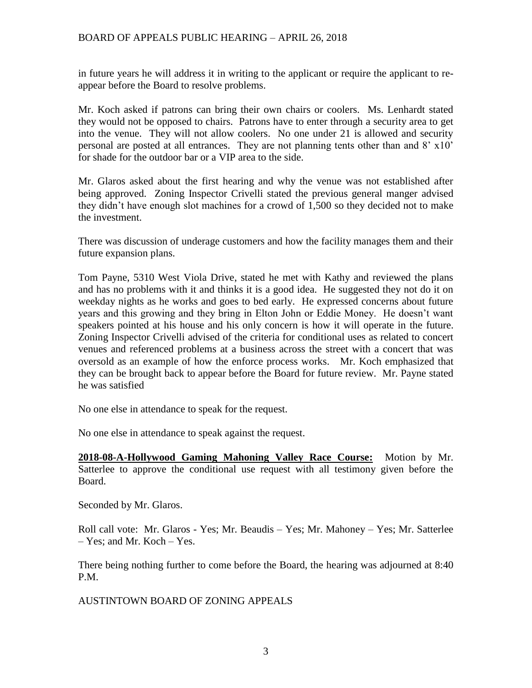in future years he will address it in writing to the applicant or require the applicant to reappear before the Board to resolve problems.

Mr. Koch asked if patrons can bring their own chairs or coolers. Ms. Lenhardt stated they would not be opposed to chairs. Patrons have to enter through a security area to get into the venue. They will not allow coolers. No one under 21 is allowed and security personal are posted at all entrances. They are not planning tents other than and 8' x10' for shade for the outdoor bar or a VIP area to the side.

Mr. Glaros asked about the first hearing and why the venue was not established after being approved. Zoning Inspector Crivelli stated the previous general manger advised they didn't have enough slot machines for a crowd of 1,500 so they decided not to make the investment.

There was discussion of underage customers and how the facility manages them and their future expansion plans.

Tom Payne, 5310 West Viola Drive, stated he met with Kathy and reviewed the plans and has no problems with it and thinks it is a good idea. He suggested they not do it on weekday nights as he works and goes to bed early. He expressed concerns about future years and this growing and they bring in Elton John or Eddie Money. He doesn't want speakers pointed at his house and his only concern is how it will operate in the future. Zoning Inspector Crivelli advised of the criteria for conditional uses as related to concert venues and referenced problems at a business across the street with a concert that was oversold as an example of how the enforce process works. Mr. Koch emphasized that they can be brought back to appear before the Board for future review. Mr. Payne stated he was satisfied

No one else in attendance to speak for the request.

No one else in attendance to speak against the request.

**2018-08-A-Hollywood Gaming Mahoning Valley Race Course:** Motion by Mr. Satterlee to approve the conditional use request with all testimony given before the Board.

Seconded by Mr. Glaros.

Roll call vote: Mr. Glaros - Yes; Mr. Beaudis – Yes; Mr. Mahoney – Yes; Mr. Satterlee – Yes; and Mr. Koch – Yes.

There being nothing further to come before the Board, the hearing was adjourned at 8:40 P.M.

AUSTINTOWN BOARD OF ZONING APPEALS